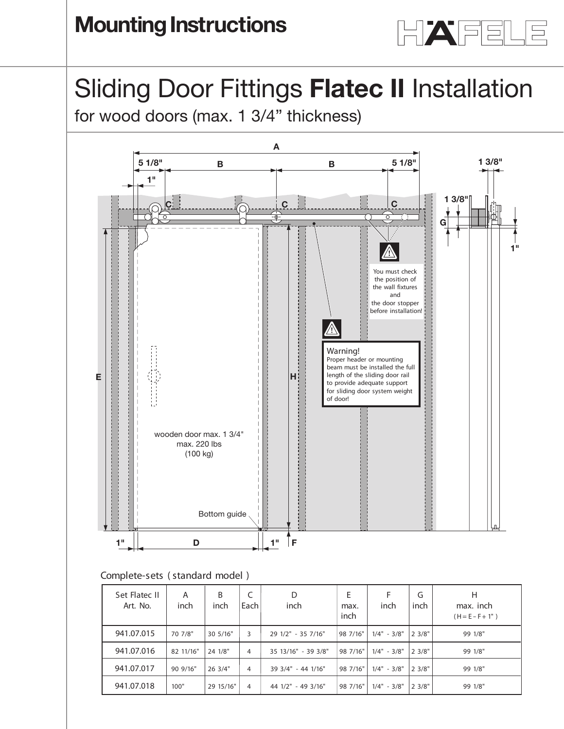

## Sliding Door Fittings **Flatec II** Installation **Installation instructions**  $\mu$  DUCT Fittings **Flatec II** Installation<br>Jood doors (max. 1 3/4" thickness)

for wood doors (max. 1 3/4" thickness)



## **Complete-sets** ( standard model )

| Set Flatec II<br>Art. No. | Α<br>inch | B<br>inch | C<br>Each | D<br>inch           | E<br>max.<br>inch | inch          | G<br>inch    | Н<br>max. inch<br>$(H = E - F + 1")$ |
|---------------------------|-----------|-----------|-----------|---------------------|-------------------|---------------|--------------|--------------------------------------|
| 941.07.015                | 70 7/8"   | 30 5/16"  | 3         | 29 1/2" - 35 7/16"  | 98 7/16"          | $1/4" - 3/8"$ | $ 2 \, 3/8"$ | 99 1/8"                              |
| 941.07.016                | 82 11/16" | 24 1/8"   | 4         | 35 13/16" - 39 3/8" | 98 7/16"          | $1/4" - 3/8"$ | 2.3/8"       | 99 1/8"                              |
| 941.07.017                | 90 9/16"  | 26 3/4"   | 4         | 39 3/4" - 44 1/16"  | 98 7/16"          | $1/4" - 3/8"$ | 23/8"        | 99 1/8"                              |
| 941.07.018                | 100"      | 29 15/16" | 4         | 44 1/2" - 49 3/16"  | 98 7/16"          | $1/4" - 3/8"$ | 2 3/8"       | 99 1/8"                              |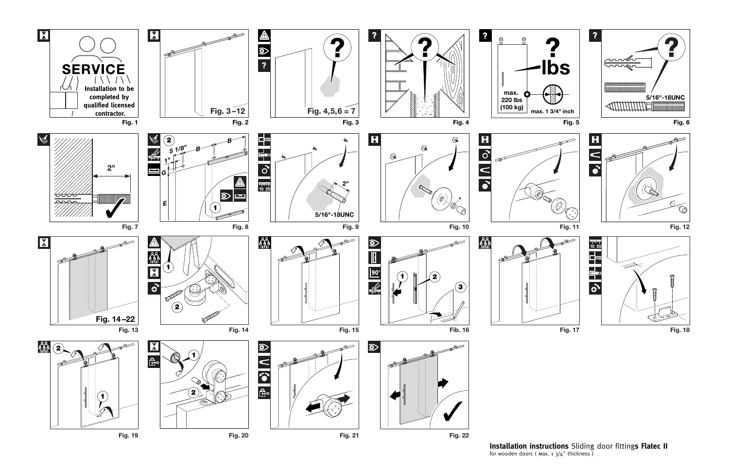